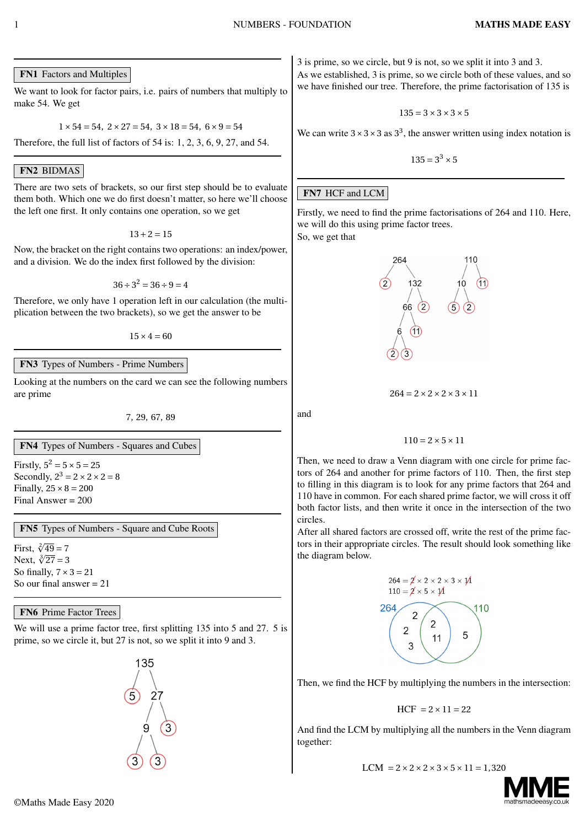FN1 Factors and Multiples

We want to look for factor pairs, i.e. pairs of numbers that multiply to make 54. We get

 $1 \times 54 = 54$ ,  $2 \times 27 = 54$ ,  $3 \times 18 = 54$ ,  $6 \times 9 = 54$ 

Therefore, the full list of factors of 54 is: 1, 2, 3, 6, 9, 27, and 54.

# FN2 BIDMAS

There are two sets of brackets, so our first step should be to evaluate them both. Which one we do first doesn't matter, so here we'll choose the left one first. It only contains one operation, so we get

 $13 + 2 = 15$ 

Now, the bracket on the right contains two operations: an index/power, and a division. We do the index first followed by the division:

 $36 \div 3^2 = 36 \div 9 = 4$ 

Therefore, we only have 1 operation left in our calculation (the multiplication between the two brackets), so we get the answer to be

 $15 \times 4 = 60$ 

FN3 Types of Numbers - Prime Numbers

Looking at the numbers on the card we can see the following numbers are prime

7, 29, 67, 89

FN4 Types of Numbers - Squares and Cubes

Firstly,  $5^2 = 5 \times 5 = 25$ Secondly,  $2^3 = 2 \times 2 \times 2 = 8$ Finally,  $25 \times 8 = 200$ Final Answer = 200

FN5 Types of Numbers - Square and Cube Roots

First,  $\sqrt[2]{49} = 7$ Next,  $\sqrt[3]{27} = 3$ So finally, 7*×*3 *=* 21 So our final answer  $= 21$ 

### **FN6** Prime Factor Trees

We will use a prime factor tree, first splitting 135 into 5 and 27. 5 is prime, so we circle it, but 27 is not, so we split it into 9 and 3.

135

3 is prime, so we circle, but 9 is not, so we split it into 3 and 3. As we established, 3 is prime, so we circle both of these values, and so we have finished our tree. Therefore, the prime factorisation of 135 is

$$
135 = 3 \times 3 \times 3 \times 5
$$

We can write  $3 \times 3 \times 3$  as  $3^3$ , the answer written using index notation is

 $135 = 3^3 \times 5$ 

### **FN7 HCF and LCM**

Firstly, we need to find the prime factorisations of 264 and 110. Here, we will do this using prime factor trees.

So, we get that



 $264 = 2 \times 2 \times 2 \times 3 \times 11$ 

 $110 = 2 \times 5 \times 11$ 

Then, we need to draw a Venn diagram with one circle for prime factors of 264 and another for prime factors of 110. Then, the first step to filling in this diagram is to look for any prime factors that 264 and 110 have in common. For each shared prime factor, we will cross it off both factor lists, and then write it once in the intersection of the two circles.

After all shared factors are crossed off, write the rest of the prime factors in their appropriate circles. The result should look something like the diagram below.



Then, we find the HCF by multiplying the numbers in the intersection:

$$
HCF = 2 \times 11 = 22
$$

And find the LCM by multiplying all the numbers in the Venn diagram together:

$$
LCM = 2 \times 2 \times 2 \times 3 \times 5 \times 11 = 1,320
$$



and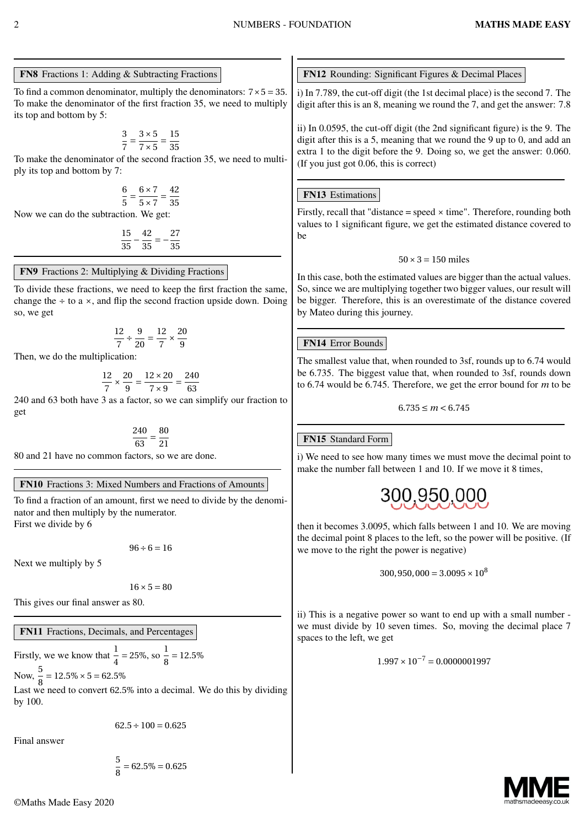#### FN8 Fractions 1: Adding & Subtracting Fractions

To find a common denominator, multiply the denominators:  $7 \times 5 = 35$ . To make the denominator of the first fraction 35, we need to multiply its top and bottom by 5:

$$
\frac{3}{7} = \frac{3 \times 5}{7 \times 5} = \frac{15}{35}
$$

To make the denominator of the second fraction 35, we need to multiply its top and bottom by 7:

$$
\frac{6}{5} = \frac{6 \times 7}{5 \times 7} = \frac{42}{35}
$$

Now we can do the subtraction. We get:

$$
\frac{15}{35} - \frac{42}{35} = -\frac{27}{35}
$$

#### FN9 Fractions 2: Multiplying & Dividing Fractions

To divide these fractions, we need to keep the first fraction the same, change the *÷* to a *×*, and flip the second fraction upside down. Doing so, we get

$$
\frac{12}{7} \div \frac{9}{20} = \frac{12}{7} \times \frac{20}{9}
$$

Then, we do the multiplication:

$$
\frac{12}{7} \times \frac{20}{9} = \frac{12 \times 20}{7 \times 9} = \frac{240}{63}
$$

240 and 63 both have 3 as a factor, so we can simplify our fraction to get

$$
\frac{240}{63} = \frac{80}{21}
$$

80 and 21 have no common factors, so we are done.

#### FN10 Fractions 3: Mixed Numbers and Fractions of Amounts

To find a fraction of an amount, first we need to divide by the denominator and then multiply by the numerator. First we divide by 6

 $96 \div 6 = 16$ 

Next we multiply by 5

 $16 \times 5 = 80$ 

This gives our final answer as 80.

FN11 Fractions, Decimals, and Percentages

Firstly, we we know that  $\frac{1}{4} = 25\%$ , so  $\frac{1}{8}$  $\frac{2}{8}$  = 12.5%

Now,  $\frac{5}{9}$  $\frac{1}{8}$  = 12.5% × 5 = 62.5% Last we need to convert 62.5% into a decimal. We do this by dividing by 100.

 $62.5 \div 100 = 0.625$ 

Final answer

5  $\frac{2}{8}$  = 62.5% = 0.625 FN12 Rounding: Significant Figures & Decimal Places

i) In 7.789, the cut-off digit (the 1st decimal place) is the second 7. The digit after this is an 8, meaning we round the 7, and get the answer: 7.8

ii) In 0.0595, the cut-off digit (the 2nd significant figure) is the 9. The digit after this is a 5, meaning that we round the 9 up to 0, and add an extra 1 to the digit before the 9. Doing so, we get the answer: 0.060. (If you just got 0.06, this is correct)

### **FN13** Estimations

Firstly, recall that "distance = speed *×* time". Therefore, rounding both values to 1 significant figure, we get the estimated distance covered to be

$$
50 \times 3 = 150 \text{ miles}
$$

In this case, both the estimated values are bigger than the actual values. So, since we are multiplying together two bigger values, our result will be bigger. Therefore, this is an overestimate of the distance covered by Mateo during this journey.

### **FN14 Error Bounds**

The smallest value that, when rounded to 3sf, rounds up to 6.74 would be 6.735. The biggest value that, when rounded to 3sf, rounds down to 6.74 would be 6.745. Therefore, we get the error bound for *m* to be

$$
6.735\leq m<6.745
$$

### FN15 Standard Form

i) We need to see how many times we must move the decimal point to make the number fall between 1 and 10. If we move it 8 times,



then it becomes 3.0095, which falls between 1 and 10. We are moving the decimal point 8 places to the left, so the power will be positive. (If we move to the right the power is negative)

 $300, 950, 000 = 3.0095 \times 10^8$ 

ii) This is a negative power so want to end up with a small number we must divide by 10 seven times. So, moving the decimal place 7 spaces to the left, we get

$$
1.997 \times 10^{-7} = 0.0000001997
$$

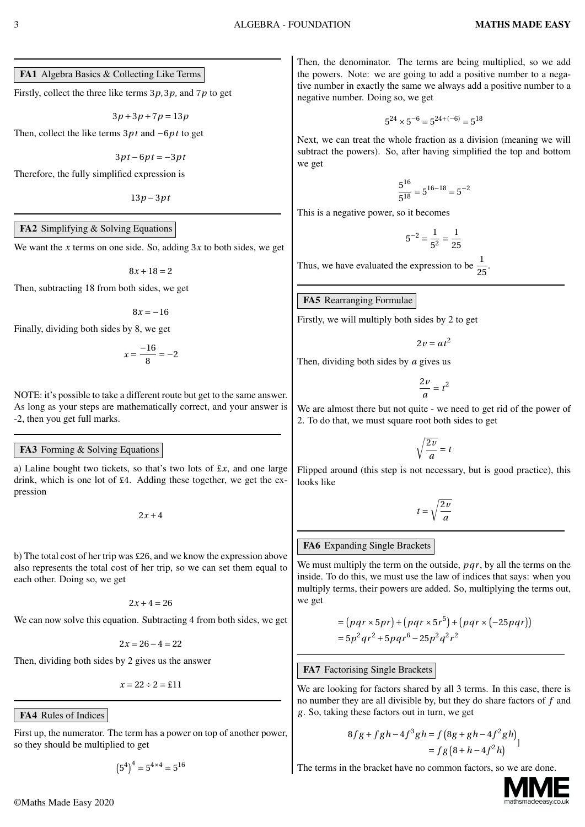FA1 Algebra Basics & Collecting Like Terms

Firstly, collect the three like terms 3*p*, 3*p*, and 7*p* to get

$$
3p+3p+7p=13p \\
$$

Then, collect the like terms 3*p t* and *−*6*p t* to get

$$
3pt-6pt=-3pt
$$

Therefore, the fully simplified expression is

13*p −*3*p t*

#### FA2 Simplifying & Solving Equations

We want the *x* terms on one side. So, adding 3*x* to both sides, we get

 $8x + 18 = 2$ 

Then, subtracting 18 from both sides, we get

 $8x = -16$ 

Finally, dividing both sides by 8, we get

$$
x = \frac{-16}{8} = -2
$$

NOTE: it's possible to take a different route but get to the same answer. As long as your steps are mathematically correct, and your answer is -2, then you get full marks.

#### FA3 Forming & Solving Equations

a) Laline bought two tickets, so that's two lots of £*x*, and one large drink, which is one lot of £4. Adding these together, we get the expression

 $2x + 4$ 

b) The total cost of her trip was £26, and we know the expression above also represents the total cost of her trip, so we can set them equal to each other. Doing so, we get

 $2x + 4 = 26$ 

We can now solve this equation. Subtracting 4 from both sides, we get

$$
2x = 26 - 4 = 22
$$

Then, dividing both sides by 2 gives us the answer

 $x = 22 \div 2 = 11$ 

FA4 Rules of Indices

First up, the numerator. The term has a power on top of another power, so they should be multiplied to get

$$
(5^4)^4 = 5^{4 \times 4} = 5^{16}
$$

Then, the denominator. The terms are being multiplied, so we add the powers. Note: we are going to add a positive number to a negative number in exactly the same we always add a positive number to a negative number. Doing so, we get

$$
5^{24} \times 5^{-6} = 5^{24 + (-6)} = 5^{18}
$$

Next, we can treat the whole fraction as a division (meaning we will subtract the powers). So, after having simplified the top and bottom we get

$$
\frac{5^{16}}{5^{18}} = 5^{16-18} = 5^{-2}
$$

This is a negative power, so it becomes

$$
5^{-2}=\frac{1}{5^2}=\frac{1}{25}
$$

Thus, we have evaluated the expression to be  $\frac{1}{25}$ .

FA5 Rearranging Formulae

Firstly, we will multiply both sides by 2 to get

$$
2v = at^2
$$

Then, dividing both sides by *a* gives us

$$
\frac{2v}{a} = t^2
$$

We are almost there but not quite - we need to get rid of the power of 2. To do that, we must square root both sides to get

$$
\sqrt{\frac{2v}{a}} = t
$$

Flipped around (this step is not necessary, but is good practice), this looks like

$$
t = \sqrt{\frac{2v}{a}}
$$

#### FA6 Expanding Single Brackets

We must multiply the term on the outside, *pqr*, by all the terms on the inside. To do this, we must use the law of indices that says: when you multiply terms, their powers are added. So, multiplying the terms out, we get

$$
= (pqr \times 5pr) + (pqr \times 5r^5) + (pqr \times (-25pqr))
$$
  
= 5p<sup>2</sup>qr<sup>2</sup> + 5pqr<sup>6</sup> - 25p<sup>2</sup>q<sup>2</sup>r<sup>2</sup>

#### FA7 Factorising Single Brackets

We are looking for factors shared by all 3 terms. In this case, there is no number they are all divisible by, but they do share factors of *f* and *g* . So, taking these factors out in turn, we get

$$
8fg + fgh - 4f3gh = f(8g + gh - 4f2gh)= fg(8 + h - 4f2h)
$$

The terms in the bracket have no common factors, so we are done.

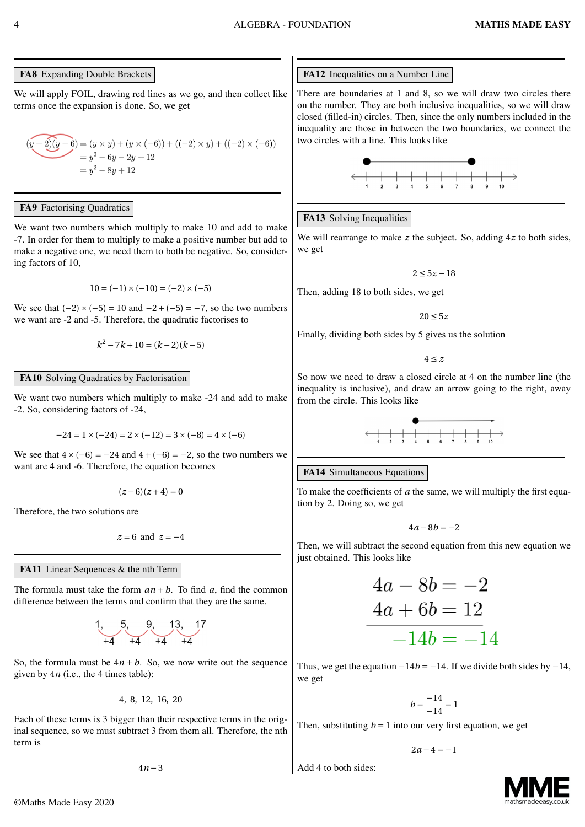# FA8 Expanding Double Brackets

We will apply FOIL, drawing red lines as we go, and then collect like terms once the expansion is done. So, we get

$$
(y-2)(y-6) = (y \times y) + (y \times (-6)) + ((-2) \times y) + ((-2) \times (-6))
$$
  
= y<sup>2</sup> - 6y - 2y + 12  
= y<sup>2</sup> - 8y + 12

### FA9 Factorising Quadratics

We want two numbers which multiply to make 10 and add to make -7. In order for them to multiply to make a positive number but add to make a negative one, we need them to both be negative. So, considering factors of 10,

$$
10 = (-1) \times (-10) = (-2) \times (-5)
$$

We see that  $(-2) \times (-5) = 10$  and  $-2 + (-5) = -7$ , so the two numbers we want are -2 and -5. Therefore, the quadratic factorises to

$$
k^2 - 7k + 10 = (k - 2)(k - 5)
$$

### FA10 Solving Quadratics by Factorisation

We want two numbers which multiply to make -24 and add to make -2. So, considering factors of -24,

$$
-24 = 1 \times (-24) = 2 \times (-12) = 3 \times (-8) = 4 \times (-6)
$$

We see that  $4 \times (-6) = -24$  and  $4 + (-6) = -2$ , so the two numbers we want are 4 and -6. Therefore, the equation becomes

$$
(z-6)(z+4)=0\\
$$

Therefore, the two solutions are

$$
z = 6 \text{ and } z = -4
$$

# FA11 Linear Sequences & the nth Term

The formula must take the form  $an + b$ . To find *a*, find the common difference between the terms and confirm that they are the same.

$$
1, \underbrace{5,}_{+4}, \underbrace{9,}_{+4}, \underbrace{13,}_{+4}, \underbrace{17,}_{+4}
$$

So, the formula must be  $4n + b$ . So, we now write out the sequence given by 4*n* (i.e., the 4 times table):

4, 8, 12, 16, 20

Each of these terms is 3 bigger than their respective terms in the original sequence, so we must subtract 3 from them all. Therefore, the nth term is

4*n −*3

# FA12 Inequalities on a Number Line

There are boundaries at 1 and 8, so we will draw two circles there on the number. They are both inclusive inequalities, so we will draw closed (filled-in) circles. Then, since the only numbers included in the inequality are those in between the two boundaries, we connect the two circles with a line. This looks like



# FA13 Solving Inequalities

We will rearrange to make *z* the subject. So, adding 4*z* to both sides, we get

$$
2\leq 5z-18
$$

Then, adding 18 to both sides, we get

20 *≤* 5*z*

Finally, dividing both sides by 5 gives us the solution

 $4 \leq z$ 

So now we need to draw a closed circle at 4 on the number line (the inequality is inclusive), and draw an arrow going to the right, away from the circle. This looks like



# FA14 Simultaneous Equations

To make the coefficients of *a* the same, we will multiply the first equation by 2. Doing so, we get

$$
4a-8b=-2
$$

Then, we will subtract the second equation from this new equation we just obtained. This looks like

$$
4a - 8b = -2
$$
  

$$
4a + 6b = 12
$$
  

$$
-14b = -14
$$

Thus, we get the equation *−*14*b = −*14. If we divide both sides by *−*14, we get

$$
b = \frac{-14}{-14} = 1
$$

Then, substituting  $b = 1$  into our very first equation, we get

$$
2a-4=-1
$$

Add 4 to both sides:

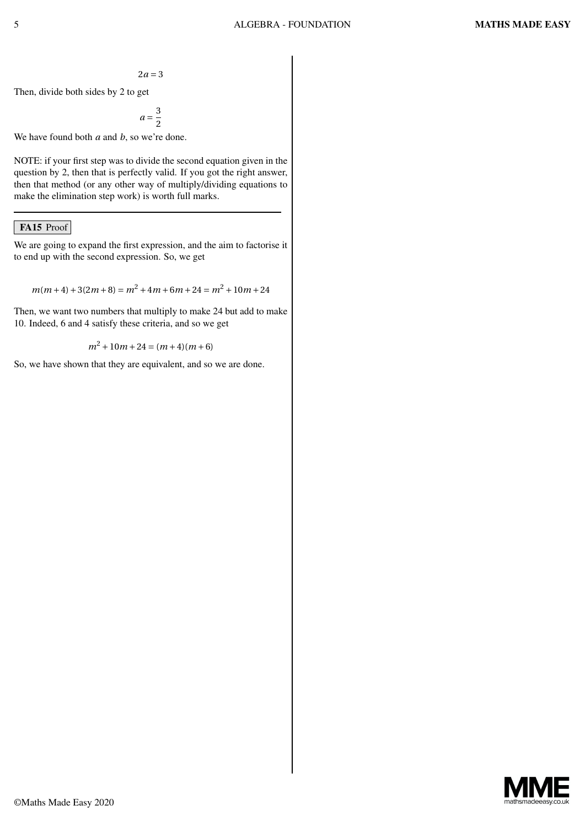$$
2a\,{=}\,3
$$

Then, divide both sides by 2 to get

$$
a=\frac{3}{2}
$$

We have found both *a* and *b*, so we're done.

NOTE: if your first step was to divide the second equation given in the question by 2, then that is perfectly valid. If you got the right answer, then that method (or any other way of multiply/dividing equations to make the elimination step work) is worth full marks.

#### FA15 Proof

We are going to expand the first expression, and the aim to factorise it to end up with the second expression. So, we get

$$
m(m+4) + 3(2m+8) = m^2 + 4m + 6m + 24 = m^2 + 10m + 24
$$

Then, we want two numbers that multiply to make 24 but add to make 10. Indeed, 6 and 4 satisfy these criteria, and so we get

$$
m^2 + 10m + 24 = (m+4)(m+6)
$$

So, we have shown that they are equivalent, and so we are done.

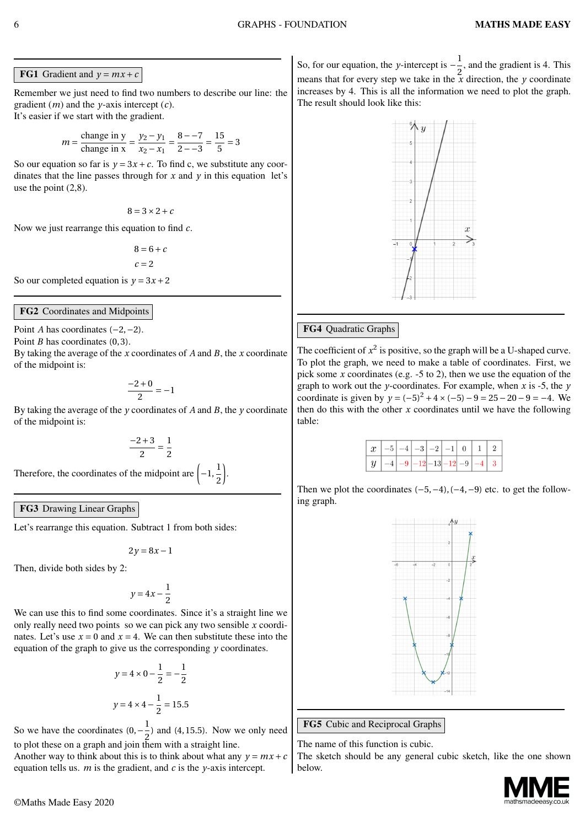**FG1** Gradient and  $y = mx + c$ 

Remember we just need to find two numbers to describe our line: the gradient (*m*) and the *y*-axis intercept (*c*). It's easier if we start with the gradient.

$$
m = \frac{\text{change in y}}{\text{change in x}} = \frac{y_2 - y_1}{x_2 - x_1} = \frac{8 - 7}{2 - 3} = \frac{15}{5} = 3
$$

So our equation so far is  $y = 3x + c$ . To find c, we substitute any coordinates that the line passes through for  $x$  and  $y$  in this equation let's use the point (2,8).

 $8 = 3 \times 2 + c$ 

Now we just rearrange this equation to find *c*.

 $8 = 6 + c$ *c =* 2

So our completed equation is  $y = 3x + 2$ 

#### FG2 Coordinates and Midpoints

Point *A* has coordinates (*−*2,*−*2).

Point *B* has coordinates (0,3).

By taking the average of the *x* coordinates of *A* and *B*, the *x* coordinate of the midpoint is:

$$
\frac{-2+0}{2}=-1
$$

By taking the average of the *y* coordinates of *A* and *B*, the *y* coordinate of the midpoint is:

$$
\frac{-2+3}{2} = \frac{1}{2}
$$

Therefore, the coordinates of the midpoint are  $\left(-1, \frac{1}{2}\right)$ 2 ) .

FG3 Drawing Linear Graphs

Let's rearrange this equation. Subtract 1 from both sides:

$$
2y=8x-1
$$

Then, divide both sides by 2:

$$
y = 4x - \frac{1}{2}
$$

We can use this to find some coordinates. Since it's a straight line we only really need two points so we can pick any two sensible *x* coordinates. Let's use  $x = 0$  and  $x = 4$ . We can then substitute these into the equation of the graph to give us the corresponding *y* coordinates.

$$
y = 4 \times 0 - \frac{1}{2} = -\frac{1}{2}
$$

$$
y = 4 \times 4 - \frac{1}{2} = 15.5
$$

So we have the coordinates  $(0, -\frac{1}{2})$  $\frac{1}{2}$ ) and (4, 15.5). Now we only need to plot these on a graph and join them with a straight line.

Another way to think about this is to think about what any  $y = mx + c$ equation tells us. *m* is the gradient, and *c* is the *y*-axis intercept.

So, for our equation, the *y*-intercept is  $-\frac{1}{2}$  $\frac{1}{2}$ , and the gradient is 4. This means that for every step we take in the  $\frac{z}{x}$  direction, the *y* coordinate increases by 4. This is all the information we need to plot the graph. The result should look like this:



### FG4 Quadratic Graphs

The coefficient of  $x^2$  is positive, so the graph will be a U-shaped curve. To plot the graph, we need to make a table of coordinates. First, we pick some *x* coordinates (e.g. -5 to 2), then we use the equation of the graph to work out the *y*-coordinates. For example, when *x* is -5, the *y* coordinate is given by  $y = (-5)^2 + 4 \times (-5) - 9 = 25 - 20 - 9 = -4$ . We then do this with the other  $x$  coordinates until we have the following table:

|  |  |  |  | $\mid x \mid -5 \mid -4 \mid -3 \mid -2 \mid -1 \mid 0 \mid 1 \mid 2 \mid$ |  |
|--|--|--|--|----------------------------------------------------------------------------|--|
|  |  |  |  | $\mid y \mid -4 \mid -9 \mid -12 \mid -13 \mid -12 \mid -9 \mid -4 \mid 3$ |  |

Then we plot the coordinates (*−*5,*−*4), (*−*4,*−*9) etc. to get the following graph.



FG5 Cubic and Reciprocal Graphs

The name of this function is cubic.

The sketch should be any general cubic sketch, like the one shown below.

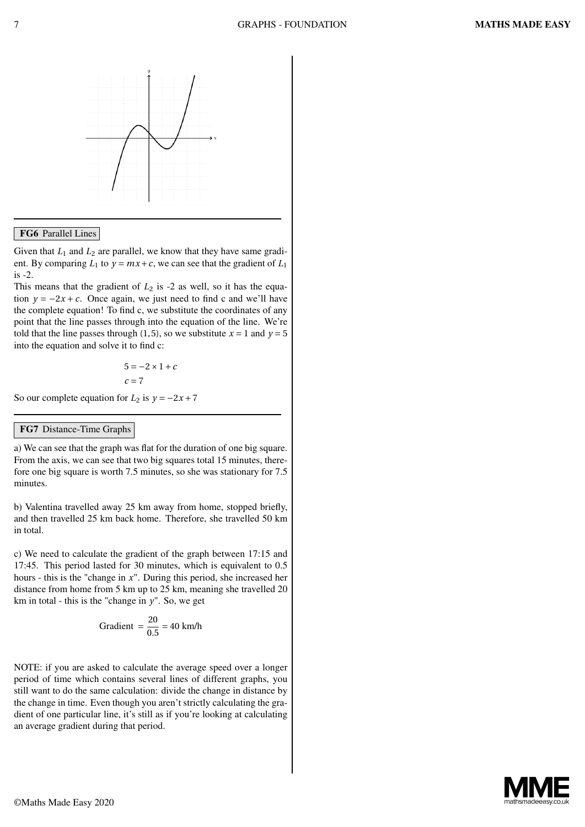

#### FG6 Parallel Lines

Given that  $L_1$  and  $L_2$  are parallel, we know that they have same gradient. By comparing  $L_1$  to  $y = mx + c$ , we can see that the gradient of  $L_1$ is -2.

This means that the gradient of  $L_2$  is  $-2$  as well, so it has the equation  $y = -2x + c$ . Once again, we just need to find c and we'll have the complete equation! To find c, we substitute the coordinates of any point that the line passes through into the equation of the line. We're told that the line passes through (1,5), so we substitute  $x = 1$  and  $y = 5$ into the equation and solve it to find c:

$$
5 = -2 \times 1 + c
$$
  

$$
c = 7
$$

So our complete equation for  $L_2$  is  $y = -2x + 7$ 

#### FG7 Distance-Time Graphs

a) We can see that the graph was flat for the duration of one big square. From the axis, we can see that two big squares total 15 minutes, therefore one big square is worth 7.5 minutes, so she was stationary for 7.5 minutes.

b) Valentina travelled away 25 km away from home, stopped briefly, and then travelled 25 km back home. Therefore, she travelled 50 km in total.

c) We need to calculate the gradient of the graph between 17:15 and 17:45. This period lasted for 30 minutes, which is equivalent to 0.5 hours - this is the "change in *x*". During this period, she increased her distance from home from 5 km up to 25 km, meaning she travelled 20 km in total - this is the "change in  $y$ ". So, we get

Gradient = 
$$
\frac{20}{0.5}
$$
 = 40 km/h

NOTE: if you are asked to calculate the average speed over a longer period of time which contains several lines of different graphs, you still want to do the same calculation: divide the change in distance by the change in time. Even though you aren't strictly calculating the gradient of one particular line, it's still as if you're looking at calculating an average gradient during that period.

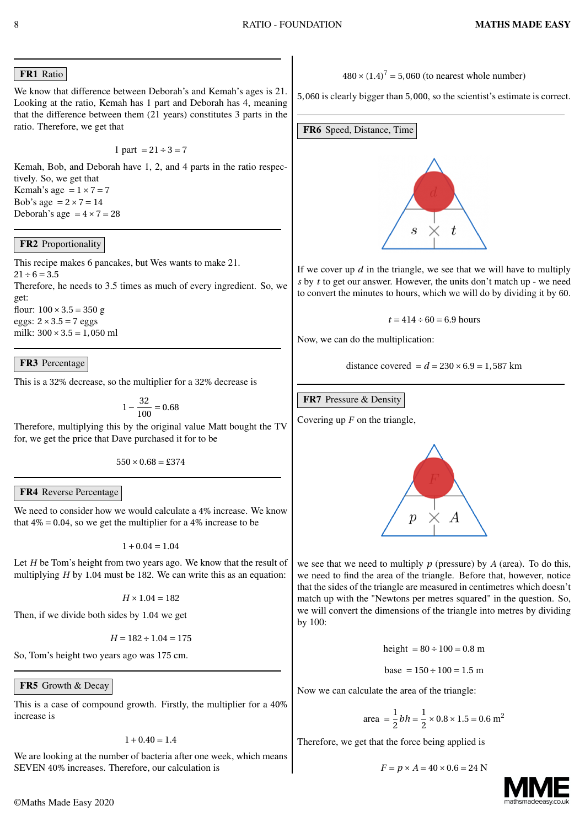# FR1 Ratio

We know that difference between Deborah's and Kemah's ages is 21. Looking at the ratio, Kemah has 1 part and Deborah has 4, meaning that the difference between them (21 years) constitutes 3 parts in the ratio. Therefore, we get that

$$
1
$$
 part  $= 21 \div 3 = 7$ 

Kemah, Bob, and Deborah have 1, 2, and 4 parts in the ratio respectively. So, we get that

Kemah's age  $= 1 \times 7 = 7$ Bob's age  $= 2 \times 7 = 14$ Deborah's age  $= 4 \times 7 = 28$ 

# FR2 Proportionality

This recipe makes 6 pancakes, but Wes wants to make 21.  $21 \div 6 = 3.5$ Therefore, he needs to 3.5 times as much of every ingredient. So, we get: flour:  $100 \times 3.5 = 350$  g eggs: 2*×*3.5 *=* 7 eggs milk: 300*×*3.5 *=* 1, 050 ml

FR3 Percentage

This is a 32% decrease, so the multiplier for a 32% decrease is

 $1-\frac{32}{100}$  $\frac{1}{100}$  = 0.68

Therefore, multiplying this by the original value Matt bought the TV for, we get the price that Dave purchased it for to be

 $550 \times 0.68 = \text{\textsterling}374$ 

#### FR4 Reverse Percentage

We need to consider how we would calculate a 4% increase. We know that  $4\% = 0.04$ , so we get the multiplier for a  $4\%$  increase to be

 $1+0.04=1.04$ 

Let *H* be Tom's height from two years ago. We know that the result of multiplying *H* by 1.04 must be 182. We can write this as an equation:

 $H \times 1.04 = 182$ 

Then, if we divide both sides by 1.04 we get

$$
H = 182 \div 1.04 = 175
$$

So, Tom's height two years ago was 175 cm.

# FR5 Growth & Decay

This is a case of compound growth. Firstly, the multiplier for a 40% increase is

 $1+0.40 = 1.4$ 

We are looking at the number of bacteria after one week, which means SEVEN 40% increases. Therefore, our calculation is

 $480 \times (1.4)^7 = 5,060$  (to nearest whole number)

5, 060 is clearly bigger than 5, 000, so the scientist's estimate is correct.

FR6 Speed, Distance, Time



If we cover up *d* in the triangle, we see that we will have to multiply *s* by *t* to get our answer. However, the units don't match up - we need to convert the minutes to hours, which we will do by dividing it by 60.

$$
t = 414 \div 60 = 6.9
$$
 hours

Now, we can do the multiplication:

distance covered  $= d = 230 \times 6.9 = 1,587$  km

### FR7 Pressure & Density

Covering up *F* on the triangle,



we see that we need to multiply *p* (pressure) by *A* (area). To do this, we need to find the area of the triangle. Before that, however, notice that the sides of the triangle are measured in centimetres which doesn't match up with the "Newtons per metres squared" in the question. So, we will convert the dimensions of the triangle into metres by dividing by 100:

height  $= 80 \div 100 = 0.8$  m

$$
base = 150 \div 100 = 1.5 \text{ m}
$$

Now we can calculate the area of the triangle:

area 
$$
=\frac{1}{2}bh = \frac{1}{2} \times 0.8 \times 1.5 = 0.6 \text{ m}^2
$$

Therefore, we get that the force being applied is

$$
F = p \times A = 40 \times 0.6 = 24
$$
 N

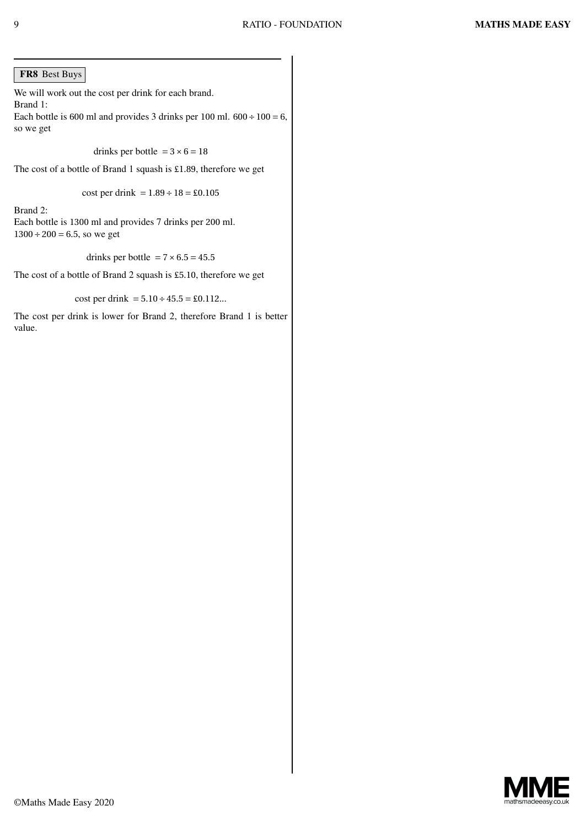#### FR8 Best Buys

We will work out the cost per drink for each brand. Brand 1: Each bottle is 600 ml and provides 3 drinks per 100 ml.  $600 \div 100 = 6$ , so we get

drinks per bottle  $= 3 \times 6 = 18$ 

The cost of a bottle of Brand 1 squash is £1.89, therefore we get

cost per drink = 
$$
1.89 \div 18 = \text{\pounds}0.105
$$

Brand 2:

Each bottle is 1300 ml and provides 7 drinks per 200 ml.  $1300 \div 200 = 6.5$ , so we get

drinks per bottle  $= 7 \times 6.5 = 45.5$ 

The cost of a bottle of Brand 2 squash is £5.10, therefore we get

cost per drink  $= 5.10 \div 45.5 = \text{\pounds}0.112...$ 

The cost per drink is lower for Brand 2, therefore Brand 1 is better value.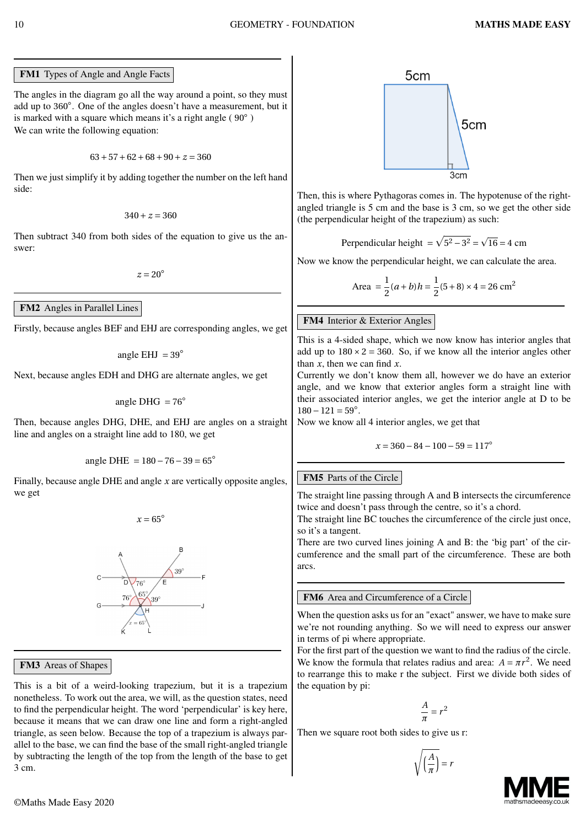FM1 Types of Angle and Angle Facts

The angles in the diagram go all the way around a point, so they must add up to 360*◦* . One of the angles doesn't have a measurement, but it is marked with a square which means it's a right angle ( 90*◦* ) We can write the following equation:

63*+*57*+*62*+*68*+*90*+ z =* 360

Then we just simplify it by adding together the number on the left hand side:

$$
340+z=360
$$

Then subtract 340 from both sides of the equation to give us the answer:

 $z = 20^\circ$ 

#### FM2 Angles in Parallel Lines

Firstly, because angles BEF and EHJ are corresponding angles, we get

angle EHJ  $= 39^\circ$ 

Next, because angles EDH and DHG are alternate angles, we get

angle DHG *=* 76*◦*

Then, because angles DHG, DHE, and EHJ are angles on a straight line and angles on a straight line add to 180, we get

angle DHE *=* 180*−*76*−*39 *=* 65*◦*

Finally, because angle DHE and angle *x* are vertically opposite angles, we get

 $x = 65^\circ$ 



#### FM3 Areas of Shapes

This is a bit of a weird-looking trapezium, but it is a trapezium nonetheless. To work out the area, we will, as the question states, need to find the perpendicular height. The word 'perpendicular' is key here, because it means that we can draw one line and form a right-angled triangle, as seen below. Because the top of a trapezium is always parallel to the base, we can find the base of the small right-angled triangle by subtracting the length of the top from the length of the base to get 3 cm.



Then, this is where Pythagoras comes in. The hypotenuse of the rightangled triangle is 5 cm and the base is 3 cm, so we get the other side (the perpendicular height of the trapezium) as such:

Perpendicular height  $= \sqrt{5^2 - 3^2} = \sqrt{16} = 4$  cm

Now we know the perpendicular height, we can calculate the area.

Area = 
$$
\frac{1}{2}(a+b)h = \frac{1}{2}(5+8) \times 4 = 26 \text{ cm}^2
$$

#### FM4 Interior & Exterior Angles

This is a 4-sided shape, which we now know has interior angles that add up to  $180 \times 2 = 360$ . So, if we know all the interior angles other than *x*, then we can find *x*.

Currently we don't know them all, however we do have an exterior angle, and we know that exterior angles form a straight line with their associated interior angles, we get the interior angle at D to be 180*−*121 *=* 59*◦* .

Now we know all 4 interior angles, we get that

$$
x = 360 - 84 - 100 - 59 = 117^{\circ}
$$

#### FM5 Parts of the Circle

The straight line passing through A and B intersects the circumference twice and doesn't pass through the centre, so it's a chord.

The straight line BC touches the circumference of the circle just once, so it's a tangent.

There are two curved lines joining A and B: the 'big part' of the circumference and the small part of the circumference. These are both arcs.

#### FM6 Area and Circumference of a Circle

When the question asks us for an "exact" answer, we have to make sure we're not rounding anything. So we will need to express our answer in terms of pi where appropriate.

For the first part of the question we want to find the radius of the circle. We know the formula that relates radius and area:  $A = \pi r^2$ . We need to rearrange this to make r the subject. First we divide both sides of the equation by pi:

$$
\frac{A}{\pi}=r^2
$$

Then we square root both sides to give us r:

$$
\sqrt{\left(\frac{A}{\pi}\right)} = r
$$

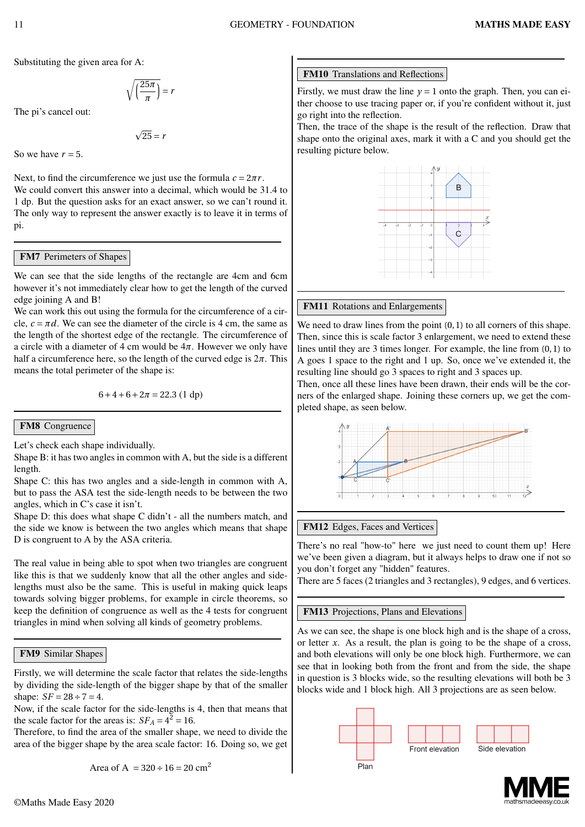Substituting the given area for A:

$$
\sqrt{\left(\frac{25\pi}{\pi}\right)} = r
$$

The pi's cancel out:

 $\sqrt{25} = r$ 

So we have  $r = 5$ .

Next, to find the circumference we just use the formula  $c = 2\pi r$ . We could convert this answer into a decimal, which would be 31.4 to 1 dp. But the question asks for an exact answer, so we can't round it. The only way to represent the answer exactly is to leave it in terms of pi.

#### FM7 Perimeters of Shapes

We can see that the side lengths of the rectangle are 4cm and 6cm however it's not immediately clear how to get the length of the curved edge joining A and B!

We can work this out using the formula for the circumference of a circle,  $c = \pi d$ . We can see the diameter of the circle is 4 cm, the same as the length of the shortest edge of the rectangle. The circumference of a circle with a diameter of 4 cm would be 4*π*. However we only have half a circumference here, so the length of the curved edge is  $2\pi$ . This means the total perimeter of the shape is:

 $6+4+6+2\pi = 22.3$  (1 dp)

#### FM8 Congruence

Let's check each shape individually.

Shape B: it has two angles in common with A, but the side is a different length.

Shape C: this has two angles and a side-length in common with A, but to pass the ASA test the side-length needs to be between the two angles, which in C's case it isn't.

Shape D: this does what shape C didn't - all the numbers match, and the side we know is between the two angles which means that shape D is congruent to A by the ASA criteria.

The real value in being able to spot when two triangles are congruent like this is that we suddenly know that all the other angles and sidelengths must also be the same. This is useful in making quick leaps towards solving bigger problems, for example in circle theorems, so keep the definition of congruence as well as the 4 tests for congruent triangles in mind when solving all kinds of geometry problems.

#### FM9 Similar Shapes

Firstly, we will determine the scale factor that relates the side-lengths by dividing the side-length of the bigger shape by that of the smaller shape:  $SF = 28 \div 7 = 4$ .

Now, if the scale factor for the side-lengths is 4, then that means that the scale factor for the areas is:  $SF_A = 4^2 = 16$ .

Therefore, to find the area of the smaller shape, we need to divide the area of the bigger shape by the area scale factor: 16. Doing so, we get

Area of A = 
$$
320 \div 16 = 20
$$
 cm<sup>2</sup>

#### FM10 Translations and Reflections

Firstly, we must draw the line  $y = 1$  onto the graph. Then, you can either choose to use tracing paper or, if you're confident without it, just go right into the reflection.

Then, the trace of the shape is the result of the reflection. Draw that shape onto the original axes, mark it with a C and you should get the resulting picture below.



#### FM11 Rotations and Enlargements

We need to draw lines from the point  $(0, 1)$  to all corners of this shape. Then, since this is scale factor 3 enlargement, we need to extend these lines until they are 3 times longer. For example, the line from (0, 1) to A goes 1 space to the right and 1 up. So, once we've extended it, the resulting line should go 3 spaces to right and 3 spaces up.

Then, once all these lines have been drawn, their ends will be the corners of the enlarged shape. Joining these corners up, we get the completed shape, as seen below.



#### FM12 Edges, Faces and Vertices

There's no real "how-to" here we just need to count them up! Here we've been given a diagram, but it always helps to draw one if not so you don't forget any "hidden" features.

There are 5 faces (2 triangles and 3 rectangles), 9 edges, and 6 vertices.

#### FM13 Projections, Plans and Elevations

As we can see, the shape is one block high and is the shape of a cross, or letter *x*. As a result, the plan is going to be the shape of a cross, and both elevations will only be one block high. Furthermore, we can see that in looking both from the front and from the side, the shape in question is 3 blocks wide, so the resulting elevations will both be 3 blocks wide and 1 block high. All 3 projections are as seen below.



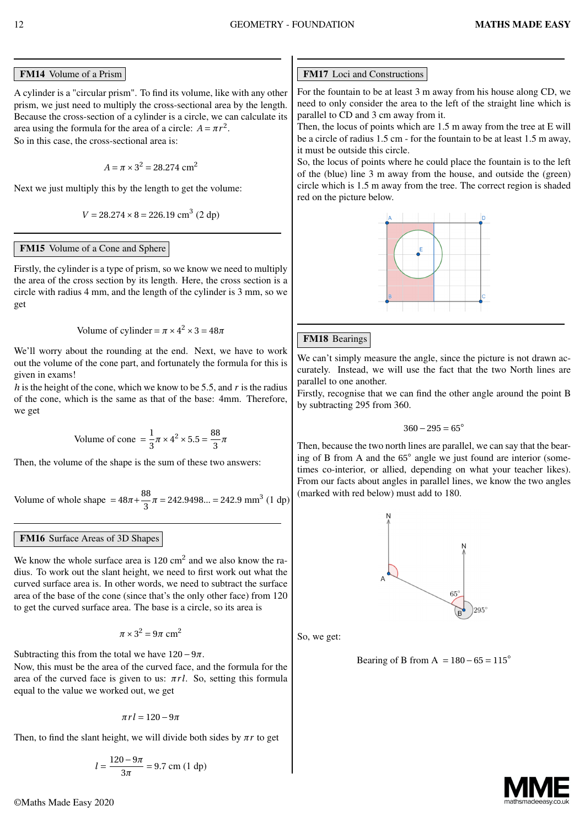# FM14 Volume of a Prism

A cylinder is a "circular prism". To find its volume, like with any other prism, we just need to multiply the cross-sectional area by the length. Because the cross-section of a cylinder is a circle, we can calculate its area using the formula for the area of a circle:  $A = \pi r^2$ . So in this case, the cross-sectional area is:

$$
A = \pi \times 3^2 = 28.274 \text{ cm}^2
$$

Next we just multiply this by the length to get the volume:

$$
V = 28.274 \times 8 = 226.19
$$
 cm<sup>3</sup> (2 dp)

# FM15 Volume of a Cone and Sphere

Firstly, the cylinder is a type of prism, so we know we need to multiply the area of the cross section by its length. Here, the cross section is a circle with radius 4 mm, and the length of the cylinder is 3 mm, so we get

Volume of cylinder = 
$$
\pi \times 4^2 \times 3 = 48\pi
$$

We'll worry about the rounding at the end. Next, we have to work out the volume of the cone part, and fortunately the formula for this is given in exams!

*h* is the height of the cone, which we know to be 5.5, and *r* is the radius of the cone, which is the same as that of the base: 4mm. Therefore, we get

Volume of cone 
$$
=\frac{1}{3}\pi \times 4^2 \times 5.5 = \frac{88}{3}\pi
$$

Then, the volume of the shape is the sum of these two answers:

Volume of whole shape = 
$$
48\pi + \frac{88}{3}\pi = 242.9498... = 242.9 \text{ mm}^3 \ (1 \text{ dp})
$$

# FM16 Surface Areas of 3D Shapes

We know the whole surface area is  $120 \text{ cm}^2$  and we also know the radius. To work out the slant height, we need to first work out what the curved surface area is. In other words, we need to subtract the surface area of the base of the cone (since that's the only other face) from 120 to get the curved surface area. The base is a circle, so its area is

$$
\pi \times 3^2 = 9\pi\ \text{cm}^2
$$

Subtracting this from the total we have  $120-9\pi$ .

Now, this must be the area of the curved face, and the formula for the area of the curved face is given to us: *πr l*. So, setting this formula equal to the value we worked out, we get

$$
\pi r l = 120-9\pi
$$

Then, to find the slant height, we will divide both sides by  $\pi r$  to get

$$
l = \frac{120 - 9\pi}{3\pi} = 9.7
$$
 cm (1 dp)

# FM17 Loci and Constructions

For the fountain to be at least 3 m away from his house along CD, we need to only consider the area to the left of the straight line which is parallel to CD and 3 cm away from it.

Then, the locus of points which are 1.5 m away from the tree at E will be a circle of radius 1.5 cm - for the fountain to be at least 1.5 m away, it must be outside this circle.

So, the locus of points where he could place the fountain is to the left of the (blue) line 3 m away from the house, and outside the (green) circle which is 1.5 m away from the tree. The correct region is shaded red on the picture below.



# FM18 Bearings

We can't simply measure the angle, since the picture is not drawn accurately. Instead, we will use the fact that the two North lines are parallel to one another.

Firstly, recognise that we can find the other angle around the point B by subtracting 295 from 360.

$$
360 - 295 = 65^{\circ}
$$

Then, because the two north lines are parallel, we can say that the bearing of B from A and the 65*◦* angle we just found are interior (sometimes co-interior, or allied, depending on what your teacher likes). From our facts about angles in parallel lines, we know the two angles (marked with red below) must add to 180.



So, we get:

Bearing of B from A *=* 180*−*65 *=* 115*◦*

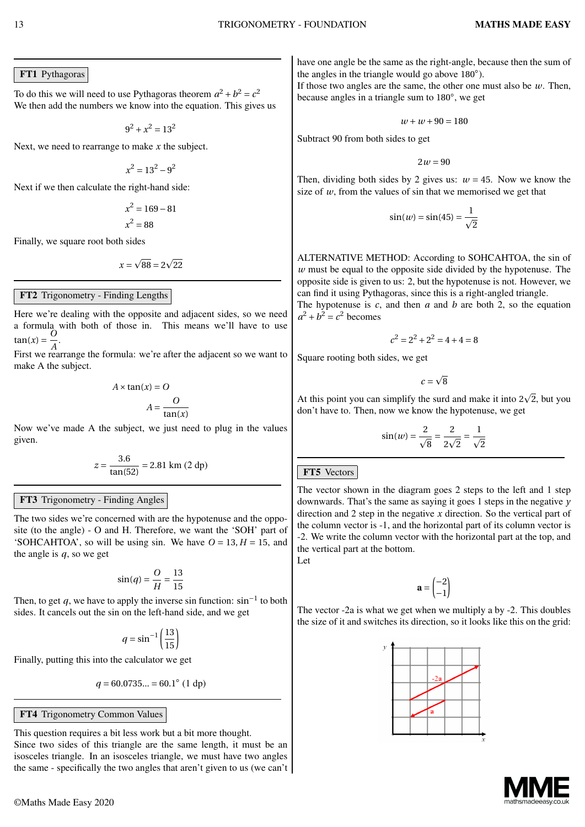#### FT1 Pythagoras

To do this we will need to use Pythagoras theorem  $a^2 + b^2 = c^2$ We then add the numbers we know into the equation. This gives us

 $9^2 + x^2 = 13^2$ 

Next, we need to rearrange to make *x* the subject.

 $x^2 = 13^2 - 9^2$ 

Next if we then calculate the right-hand side:

$$
x^2 = 169 - 81
$$

$$
x^2 = 88
$$

Finally, we square root both sides

$$
x=\sqrt{88}=2\sqrt{22}
$$

#### FT2 Trigonometry - Finding Lengths

Here we're dealing with the opposite and adjacent sides, so we need a formula with both of those in. This means we'll have to use  $\tan(x) = \frac{O}{4}$  $\frac{8}{A}$ .

First we rearrange the formula: we're after the adjacent so we want to make A the subject.

$$
A \times \tan(x) = O
$$

$$
A = \frac{O}{\tan(x)}
$$

Now we've made A the subject, we just need to plug in the values given.

$$
z = \frac{3.6}{\tan(52)} = 2.81 \text{ km } (2 \text{ dp})
$$

#### FT3 Trigonometry - Finding Angles

The two sides we're concerned with are the hypotenuse and the opposite (to the angle) - O and H. Therefore, we want the 'SOH' part of 'SOHCAHTOA', so will be using sin. We have  $O = 13$ ,  $H = 15$ , and the angle is *q*, so we get

$$
\sin(q) = \frac{O}{H} = \frac{13}{15}
$$

Then, to get *q*, we have to apply the inverse sin function: sin*−*<sup>1</sup> to both sides. It cancels out the sin on the left-hand side, and we get

$$
q = \sin^{-1}\left(\frac{13}{15}\right)
$$

Finally, putting this into the calculator we get

$$
q = 60.0735... = 60.1^{\circ} (1 \text{ dp})
$$

FT4 Trigonometry Common Values

This question requires a bit less work but a bit more thought. Since two sides of this triangle are the same length, it must be an isosceles triangle. In an isosceles triangle, we must have two angles the same - specifically the two angles that aren't given to us (we can't

have one angle be the same as the right-angle, because then the sum of the angles in the triangle would go above 180*◦* ).

If those two angles are the same, the other one must also be *w*. Then, because angles in a triangle sum to 180*◦* , we get

$$
w+w+90=180
$$

Subtract 90 from both sides to get

 $2w = 90$ 

Then, dividing both sides by 2 gives us:  $w = 45$ . Now we know the size of  $w$ , from the values of sin that we memorised we get that

$$
\sin(w) = \sin(45) = \frac{1}{\sqrt{2}}
$$

ALTERNATIVE METHOD: According to SOHCAHTOA, the sin of *w* must be equal to the opposite side divided by the hypotenuse. The opposite side is given to us: 2, but the hypotenuse is not. However, we can find it using Pythagoras, since this is a right-angled triangle.

The hypotenuse is *c*, and then *a* and *b* are both 2, so the equation  $a^2 + b^2 = c^2$  becomes

$$
c^2 = 2^2 + 2^2 = 4 + 4 = 8
$$

Square rooting both sides, we get

 $c = \sqrt{8}$ 

At this point you can simplify the surd and make it into  $2\sqrt{2}$ , but you don't have to. Then, now we know the hypotenuse, we get

$$
\sin(w) = \frac{2}{\sqrt{8}} = \frac{2}{2\sqrt{2}} = \frac{1}{\sqrt{2}}
$$

### FT5 Vectors

The vector shown in the diagram goes 2 steps to the left and 1 step downwards. That's the same as saying it goes 1 steps in the negative *y* direction and 2 step in the negative *x* direction. So the vertical part of the column vector is -1, and the horizontal part of its column vector is -2. We write the column vector with the horizontal part at the top, and the vertical part at the bottom.

Let

$$
\mathbf{a} = \begin{pmatrix} -2 \\ -1 \end{pmatrix}
$$

The vector -2a is what we get when we multiply a by -2. This doubles the size of it and switches its direction, so it looks like this on the grid:



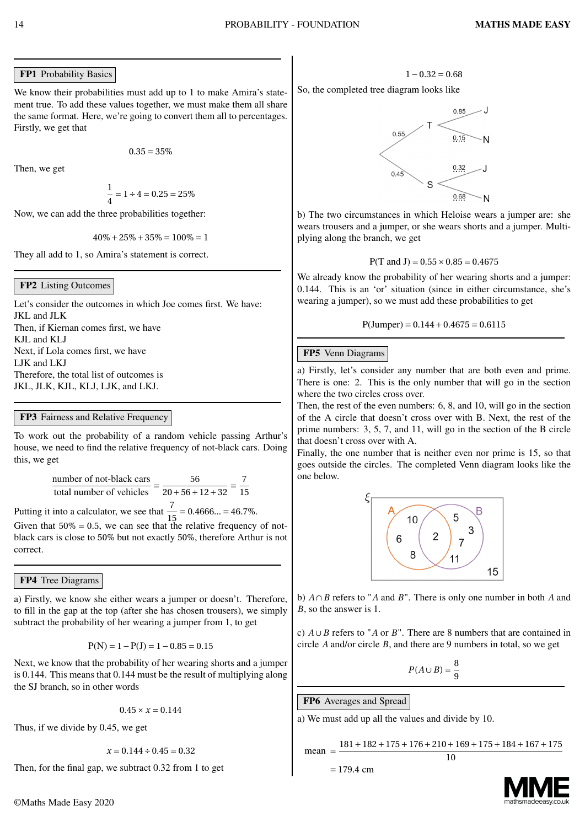#### FP1 Probability Basics

We know their probabilities must add up to 1 to make Amira's statement true. To add these values together, we must make them all share the same format. Here, we're going to convert them all to percentages. Firstly, we get that

 $0.35 = 35\%$ 

Then, we get

$$
\frac{1}{4} = 1 \div 4 = 0.25 = 25\%
$$

Now, we can add the three probabilities together:

 $40\% + 25\% + 35\% = 100\% = 1$ 

They all add to 1, so Amira's statement is correct.

#### FP2 Listing Outcomes

Let's consider the outcomes in which Joe comes first. We have: JKL and JLK Then, if Kiernan comes first, we have KJL and KLJ Next, if Lola comes first, we have LJK and LKJ Therefore, the total list of outcomes is JKL, JLK, KJL, KLJ, LJK, and LKJ.

#### FP3 Fairness and Relative Frequency

To work out the probability of a random vehicle passing Arthur's house, we need to find the relative frequency of not-black cars. Doing this, we get

> number of not-black cars total number of vehicles *=* 56  $\frac{1}{20+56+12+32}$ 7 15

Putting it into a calculator, we see that  $\frac{7}{15} = 0.4666... = 46.7\%$ .

Given that  $50\% = 0.5$ , we can see that the relative frequency of notblack cars is close to 50% but not exactly 50%, therefore Arthur is not correct.

FP4 Tree Diagrams

a) Firstly, we know she either wears a jumper or doesn't. Therefore, to fill in the gap at the top (after she has chosen trousers), we simply subtract the probability of her wearing a jumper from 1, to get

$$
P(N)=1-P(J)=1-0.85=0.15\,
$$

Next, we know that the probability of her wearing shorts and a jumper is 0.144. This means that 0.144 must be the result of multiplying along the SJ branch, so in other words

 $0.45 \times x = 0.144$ 

Thus, if we divide by 0.45, we get

 $x = 0.144 \div 0.45 = 0.32$ 

Then, for the final gap, we subtract 0.32 from 1 to get

So, the completed tree diagram looks like



b) The two circumstances in which Heloise wears a jumper are: she wears trousers and a jumper, or she wears shorts and a jumper. Multiplying along the branch, we get

$$
P(T \text{ and } J) = 0.55 \times 0.85 = 0.4675
$$

We already know the probability of her wearing shorts and a jumper: 0.144. This is an 'or' situation (since in either circumstance, she's wearing a jumper), so we must add these probabilities to get

$$
P(Jumper) = 0.144 + 0.4675 = 0.6115
$$

#### FP5 Venn Diagrams

a) Firstly, let's consider any number that are both even and prime. There is one: 2. This is the only number that will go in the section where the two circles cross over.

Then, the rest of the even numbers: 6, 8, and 10, will go in the section of the A circle that doesn't cross over with B. Next, the rest of the prime numbers: 3, 5, 7, and 11, will go in the section of the B circle that doesn't cross over with A.

Finally, the one number that is neither even nor prime is 15, so that goes outside the circles. The completed Venn diagram looks like the one below.



b) *A ∩B* refers to "*A* and *B*". There is only one number in both *A* and *B*, so the answer is 1.

c) *A ∪B* refers to "*A* or *B*". There are 8 numbers that are contained in circle *A* and/or circle *B*, and there are 9 numbers in total, so we get

$$
P(A \cup B) = \frac{8}{9}
$$

FP6 Averages and Spread

a) We must add up all the values and divide by 10.

$$
\text{mean} = \frac{181 + 182 + 175 + 176 + 210 + 169 + 175 + 184 + 167 + 175}{10}
$$

$$
= 179.4 \text{ cm}
$$